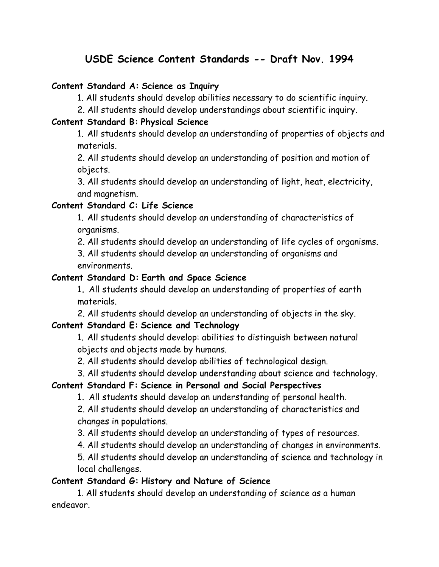# **USDE Science Content Standards -- Draft Nov. 1994**

#### **Content Standard A: Science as Inquiry**

1. All students should develop abilities necessary to do scientific inquiry.

2. All students should develop understandings about scientific inquiry.

#### **Content Standard B: Physical Science**

 1. All students should develop an understanding of properties of objects and materials.

 2. All students should develop an understanding of position and motion of objects.

 3. All students should develop an understanding of light, heat, electricity, and magnetism.

# **Content Standard C: Life Science**

 1. All students should develop an understanding of characteristics of organisms.

2. All students should develop an understanding of life cycles of organisms.

 3. All students should develop an understanding of organisms and environments.

### **Content Standard D: Earth and Space Science**

 1**.** All students should develop an understanding of properties of earth materials.

2. All students should develop an understanding of objects in the sky.

# **Content Standard E: Science and Technology**

 1. All students should develop: abilities to distinguish between natural objects and objects made by humans.

2. All students should develop abilities of technological design.

3. All students should develop understanding about science and technology.

# **Content Standard F: Science in Personal and Social Perspectives**

1**.** All students should develop an understanding of personal health.

 2. All students should develop an understanding of characteristics and changes in populations.

3. All students should develop an understanding of types of resources.

4. All students should develop an understanding of changes in environments.

 5. All students should develop an understanding of science and technology in local challenges.

# **Content Standard G: History and Nature of Science**

 1. All students should develop an understanding of science as a human endeavor.